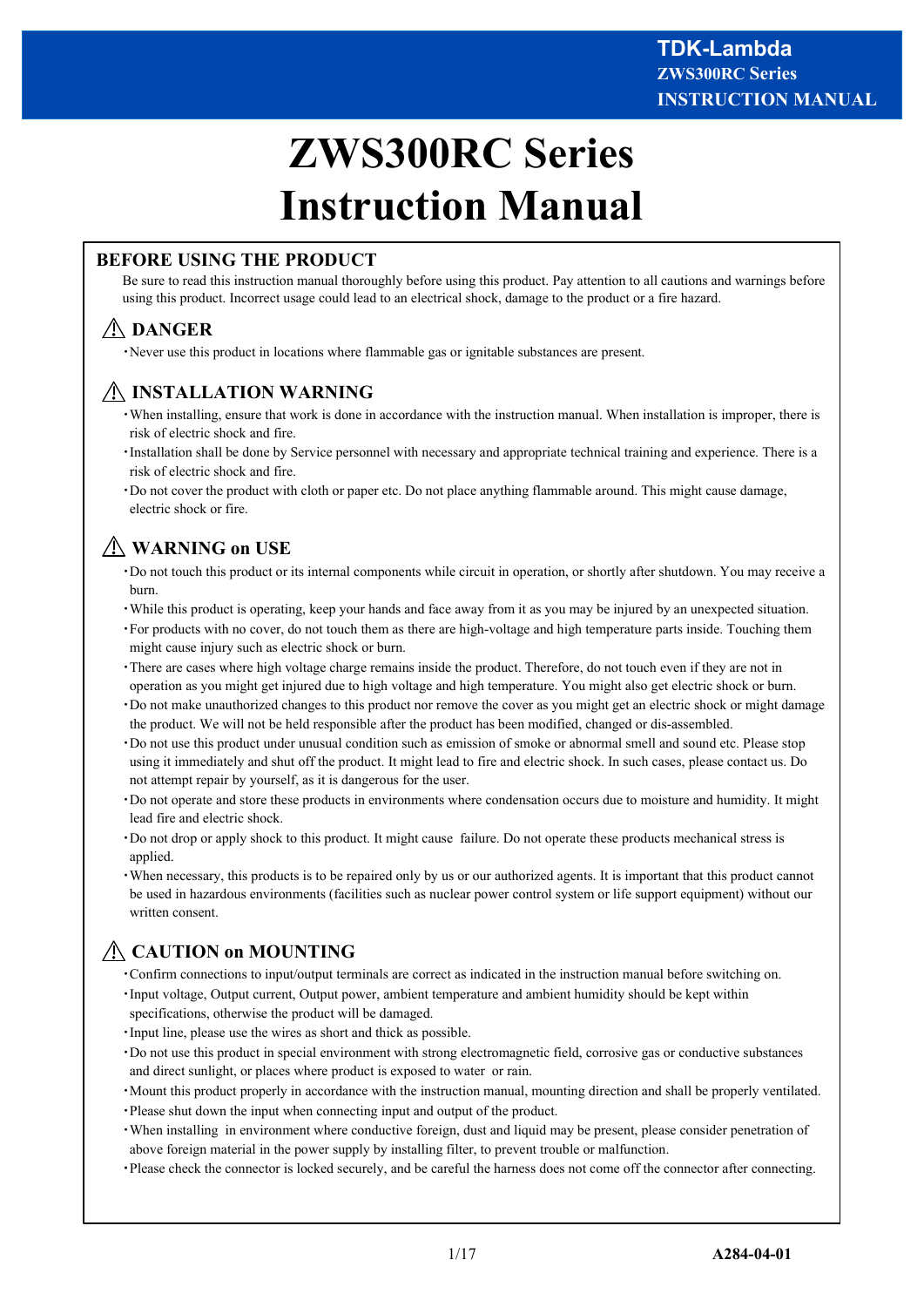# **ZWS300RC Series Instruction Manual**

## **BEFORE USING THE PRODUCT**

Be sure to read this instruction manual thoroughly before using this product. Pay attention to all cautions and warnings before using this product. Incorrect usage could lead to an electrical shock, damage to the product or a fire hazard.

# **DANGER**

・Never use this product in locations where flammable gas or ignitable substances are present.

# **INSTALLATION WARNING**

- ・When installing, ensure that work is done in accordance with the instruction manual. When installation is improper, there is risk of electric shock and fire.
- ・Installation shall be done by Service personnel with necessary and appropriate technical training and experience. There is a risk of electric shock and fire.
- ・Do not cover the product with cloth or paper etc. Do not place anything flammable around. This might cause damage, electric shock or fire.

# **WARNING on USE**

- ・Do not touch this product or its internal components while circuit in operation, or shortly after shutdown. You may receive a burn.
- ・While this product is operating, keep your hands and face away from it as you may be injured by an unexpected situation.
- ・For products with no cover, do not touch them as there are high-voltage and high temperature parts inside. Touching them might cause injury such as electric shock or burn.
- ・There are cases where high voltage charge remains inside the product. Therefore, do not touch even if they are not in operation as you might get injured due to high voltage and high temperature. You might also get electric shock or burn.
- ・Do not make unauthorized changes to this product nor remove the cover as you might get an electric shock or might damage the product. We will not be held responsible after the product has been modified, changed or dis-assembled.
- ・Do not use this product under unusual condition such as emission of smoke or abnormal smell and sound etc. Please stop using it immediately and shut off the product. It might lead to fire and electric shock. In such cases, please contact us. Do not attempt repair by yourself, as it is dangerous for the user.
- ・Do not operate and store these products in environments where condensation occurs due to moisture and humidity. It might lead fire and electric shock.
- ・Do not drop or apply shock to this product. It might cause failure. Do not operate these products mechanical stress is applied.
- ・When necessary, this products is to be repaired only by us or our authorized agents. It is important that this product cannot be used in hazardous environments (facilities such as nuclear power control system or life support equipment) without our written consent.

# **CAUTION on MOUNTING**

- ・Confirm connections to input/output terminals are correct as indicated in the instruction manual before switching on. ・Input voltage, Output current, Output power, ambient temperature and ambient humidity should be kept within
- specifications, otherwise the product will be damaged.
- ・Input line, please use the wires as short and thick as possible.
- ・Do not use this product in special environment with strong electromagnetic field, corrosive gas or conductive substances and direct sunlight, or places where product is exposed to water or rain.
- ・Mount this product properly in accordance with the instruction manual, mounting direction and shall be properly ventilated.
- ・Please shut down the input when connecting input and output of the product.
- ・When installing in environment where conductive foreign, dust and liquid may be present, please consider penetration of above foreign material in the power supply by installing filter, to prevent trouble or malfunction.
- ・Please check the connector is locked securely, and be careful the harness does not come off the connector after connecting.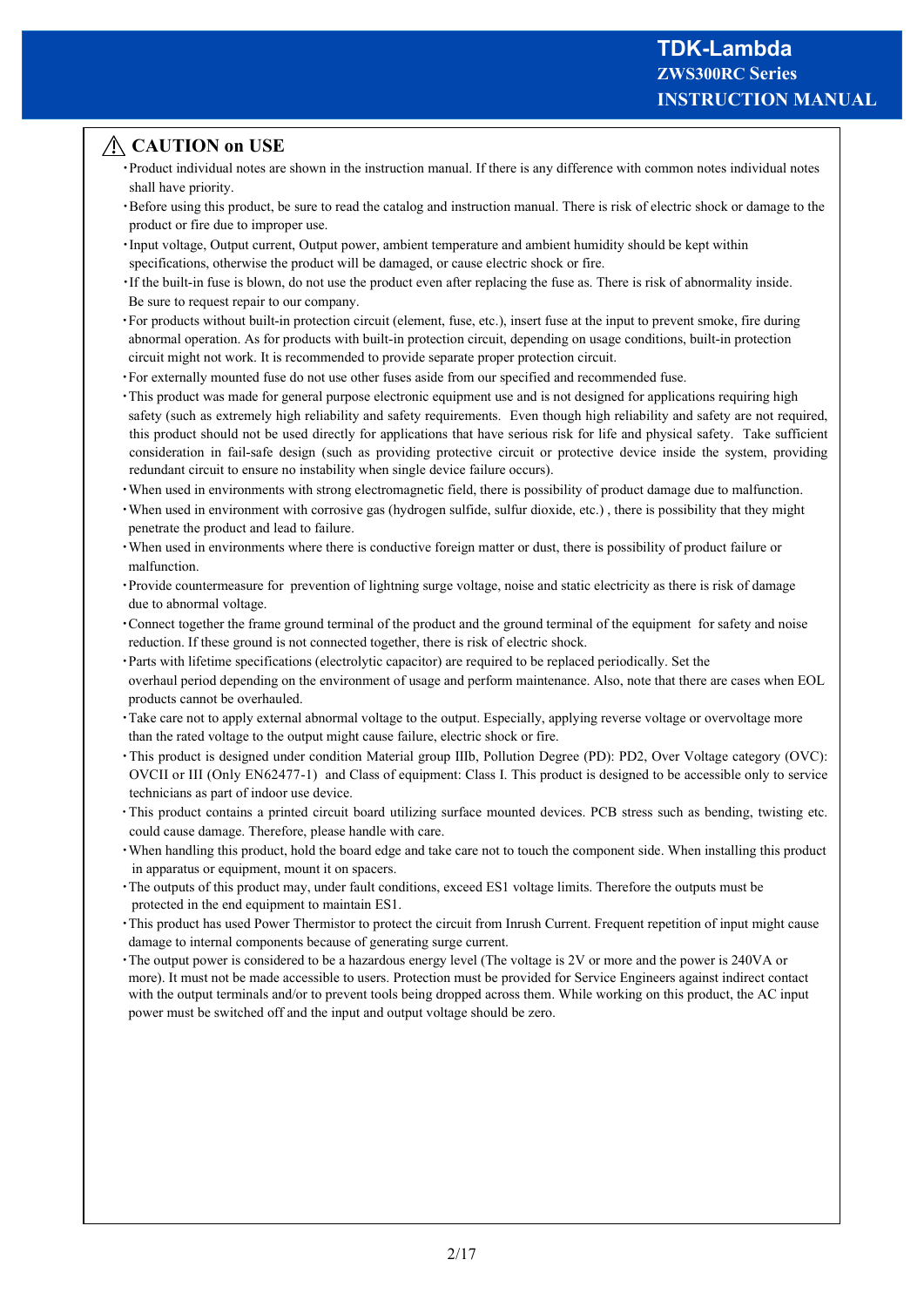## **CAUTION on USE**

- ・Product individual notes are shown in the instruction manual. If there is any difference with common notes individual notes shall have priority.
- ・Before using this product, be sure to read the catalog and instruction manual. There is risk of electric shock or damage to the product or fire due to improper use.
- ・Input voltage, Output current, Output power, ambient temperature and ambient humidity should be kept within specifications, otherwise the product will be damaged, or cause electric shock or fire.
- ・If the built-in fuse is blown, do not use the product even after replacing the fuse as. There is risk of abnormality inside. Be sure to request repair to our company.
- ・For products without built-in protection circuit (element, fuse, etc.), insert fuse at the input to prevent smoke, fire during abnormal operation. As for products with built-in protection circuit, depending on usage conditions, built-in protection circuit might not work. It is recommended to provide separate proper protection circuit.
- ・For externally mounted fuse do not use other fuses aside from our specified and recommended fuse.
- ・This product was made for general purpose electronic equipment use and is not designed for applications requiring high safety (such as extremely high reliability and safety requirements. Even though high reliability and safety are not required, this product should not be used directly for applications that have serious risk for life and physical safety. Take sufficient consideration in fail-safe design (such as providing protective circuit or protective device inside the system, providing redundant circuit to ensure no instability when single device failure occurs).
- ・When used in environments with strong electromagnetic field, there is possibility of product damage due to malfunction.
- ・When used in environment with corrosive gas (hydrogen sulfide, sulfur dioxide, etc.) , there is possibility that they might penetrate the product and lead to failure.
- ・When used in environments where there is conductive foreign matter or dust, there is possibility of product failure or malfunction.
- ・Provide countermeasure for prevention of lightning surge voltage, noise and static electricity as there is risk of damage due to abnormal voltage.
- ・Connect together the frame ground terminal of the product and the ground terminal of the equipment for safety and noise reduction. If these ground is not connected together, there is risk of electric shock.
- ・Parts with lifetime specifications (electrolytic capacitor) are required to be replaced periodically. Set the overhaul period depending on the environment of usage and perform maintenance. Also, note that there are cases when EOL products cannot be overhauled.
- ・Take care not to apply external abnormal voltage to the output. Especially, applying reverse voltage or overvoltage more than the rated voltage to the output might cause failure, electric shock or fire.
- ・This product is designed under condition Material group Ⅲb, Pollution Degree (PD): PD2, Over Voltage category (OVC): OVCII or III (Only EN62477-1) and Class of equipment: Class I. This product is designed to be accessible only to service technicians as part of indoor use device.
- ・This product contains a printed circuit board utilizing surface mounted devices. PCB stress such as bending, twisting etc. could cause damage. Therefore, please handle with care.
- ・When handling this product, hold the board edge and take care not to touch the component side. When installing this product in apparatus or equipment, mount it on spacers.
- ・The outputs of this product may, under fault conditions, exceed ES1 voltage limits. Therefore the outputs must be protected in the end equipment to maintain ES1.
- ・This product has used Power Thermistor to protect the circuit from Inrush Current. Frequent repetition of input might cause damage to internal components because of generating surge current.
- ・The output power is considered to be a hazardous energy level (The voltage is 2V or more and the power is 240VA or more). It must not be made accessible to users. Protection must be provided for Service Engineers against indirect contact with the output terminals and/or to prevent tools being dropped across them. While working on this product, the AC input power must be switched off and the input and output voltage should be zero.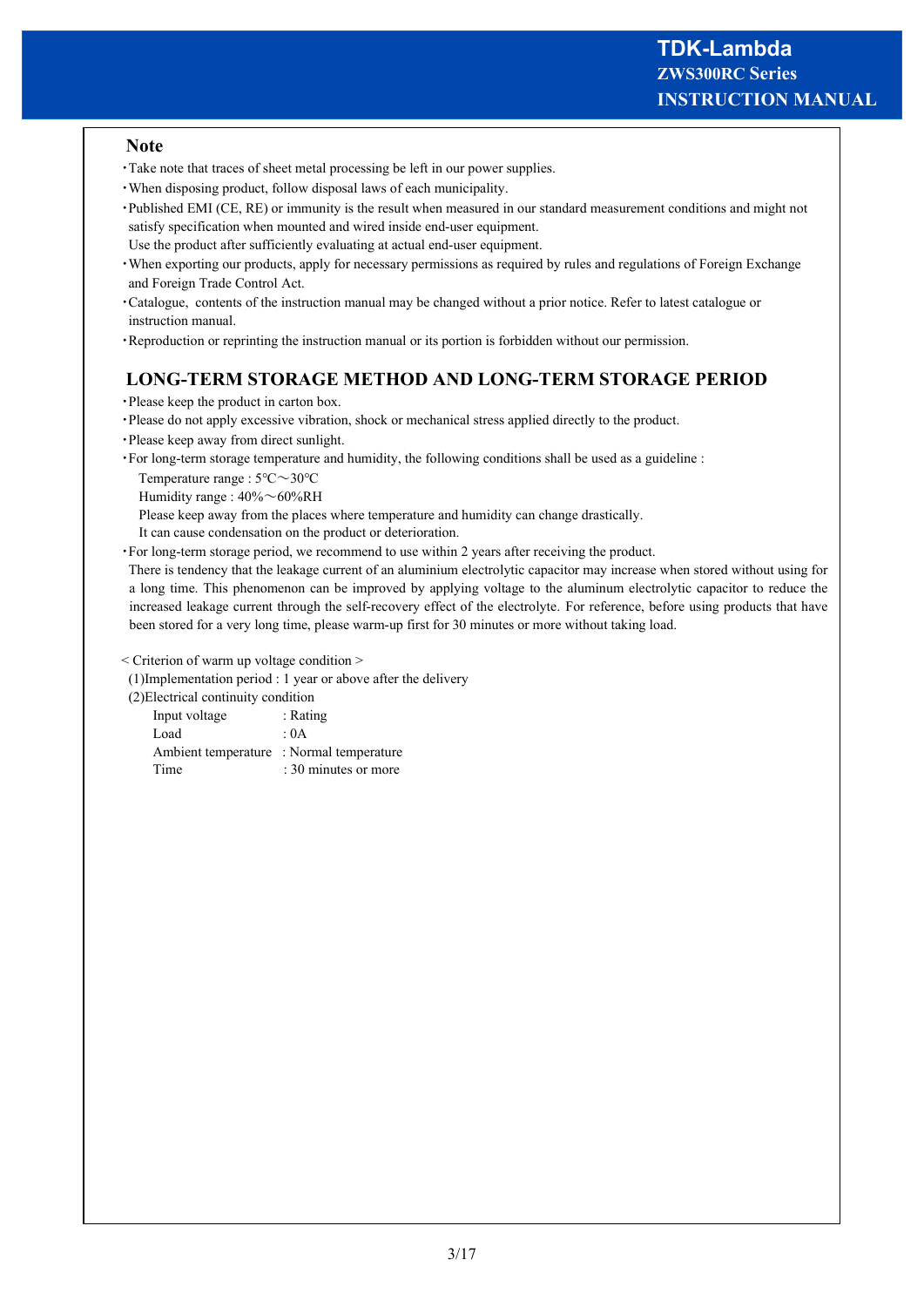#### **Note**

- ・Take note that traces of sheet metal processing be left in our power supplies.
- ・When disposing product, follow disposal laws of each municipality.
- ・Published EMI (CE, RE) or immunity is the result when measured in our standard measurement conditions and might not satisfy specification when mounted and wired inside end-user equipment.
- Use the product after sufficiently evaluating at actual end-user equipment.
- ・When exporting our products, apply for necessary permissions as required by rules and regulations of Foreign Exchange and Foreign Trade Control Act.
- ・Catalogue, contents of the instruction manual may be changed without a prior notice. Refer to latest catalogue or instruction manual.
- ・Reproduction or reprinting the instruction manual or its portion is forbidden without our permission.

## **LONG-TERM STORAGE METHOD AND LONG-TERM STORAGE PERIOD**

・Please keep the product in carton box.

・Please do not apply excessive vibration, shock or mechanical stress applied directly to the product.

- ・Please keep away from direct sunlight.
- ・For long-term storage temperature and humidity, the following conditions shall be used as a guideline :
	- Temperature range : 5℃~30℃
	- Humidity range :  $40\% \sim 60\% RH$

Please keep away from the places where temperature and humidity can change drastically.

It can cause condensation on the product or deterioration.

・For long-term storage period, we recommend to use within 2 years after receiving the product.

 There is tendency that the leakage current of an aluminium electrolytic capacitor may increase when stored without using for a long time. This phenomenon can be improved by applying voltage to the aluminum electrolytic capacitor to reduce the increased leakage current through the self-recovery effect of the electrolyte. For reference, before using products that have been stored for a very long time, please warm-up first for 30 minutes or more without taking load.

< Criterion of warm up voltage condition >

(1)Implementation period : 1 year or above after the delivery

(2)Electrical continuity condition

| $\epsilon$ , $\epsilon$ , $\epsilon$ , $\epsilon$ , $\epsilon$ , $\epsilon$ , $\epsilon$ , $\epsilon$ , $\epsilon$ , $\epsilon$ , $\epsilon$ , $\epsilon$ , $\epsilon$ , $\epsilon$ , $\epsilon$ , $\epsilon$ , $\epsilon$ , $\epsilon$ , $\epsilon$ , $\epsilon$ , $\epsilon$ , $\epsilon$ , $\epsilon$ , $\epsilon$ , $\epsilon$ , $\epsilon$ , $\epsilon$ , $\epsilon$ , $\epsilon$ , $\epsilon$ , $\epsilon$ , $\epsilon$ |                      |
|-------------------------------------------------------------------------------------------------------------------------------------------------------------------------------------------------------------------------------------------------------------------------------------------------------------------------------------------------------------------------------------------------------------------------------|----------------------|
| Input voltage                                                                                                                                                                                                                                                                                                                                                                                                                 | : Rating             |
| Load                                                                                                                                                                                                                                                                                                                                                                                                                          | : 0A                 |
| Ambient temperature : Normal temperature                                                                                                                                                                                                                                                                                                                                                                                      |                      |
| Time                                                                                                                                                                                                                                                                                                                                                                                                                          | : 30 minutes or more |
|                                                                                                                                                                                                                                                                                                                                                                                                                               |                      |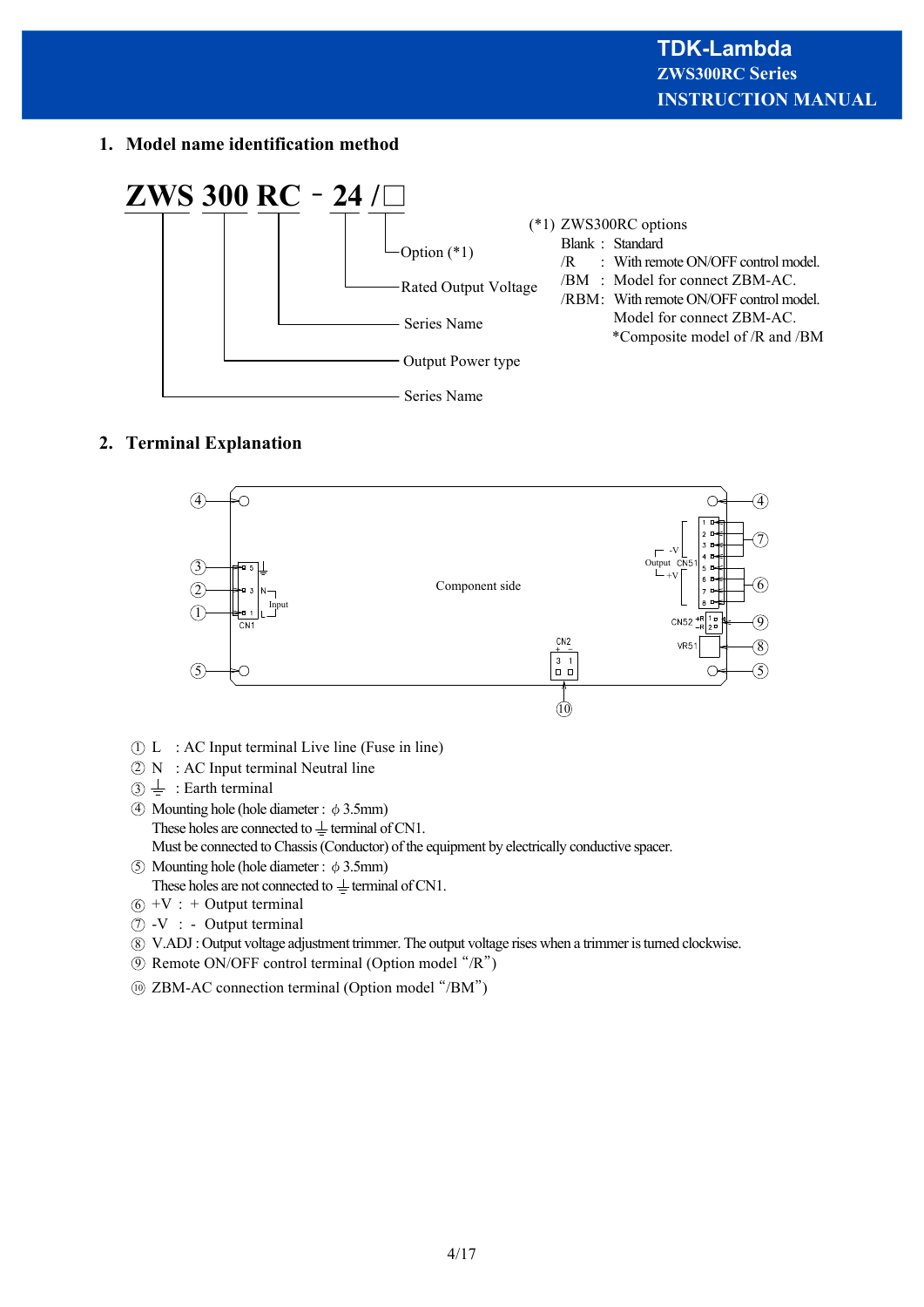**1. Model name identification method**



## **2. Terminal Explanation**



- $\overline{D}$  L : AC Input terminal Live line (Fuse in line)
- $\mathfrak{D}$  N : AC Input terminal Neutral line
- $\Im \doteqdot$  : Earth terminal
- $\overline{4}$  Mounting hole (hole diameter:  $\phi$  3.5mm) These holes are connected to  $\pm$  terminal of CN1. Must be connected to Chassis (Conductor) of the equipment by electrically conductive spacer.
- $\overline{5}$  Mounting hole (hole diameter:  $\phi$  3.5mm) These holes are not connected to  $\pm$  terminal of CN1.
- $6 + V$  : + Output terminal
- $\hat{D}$  -V : Output terminal
- V.ADJ : Output voltage adjustment trimmer. The output voltage rises when a trimmer is turned clockwise. 8
- **9** Remote ON/OFF control terminal (Option model "/R")
- ZBM-AC connection terminal (Option model "/BM") 10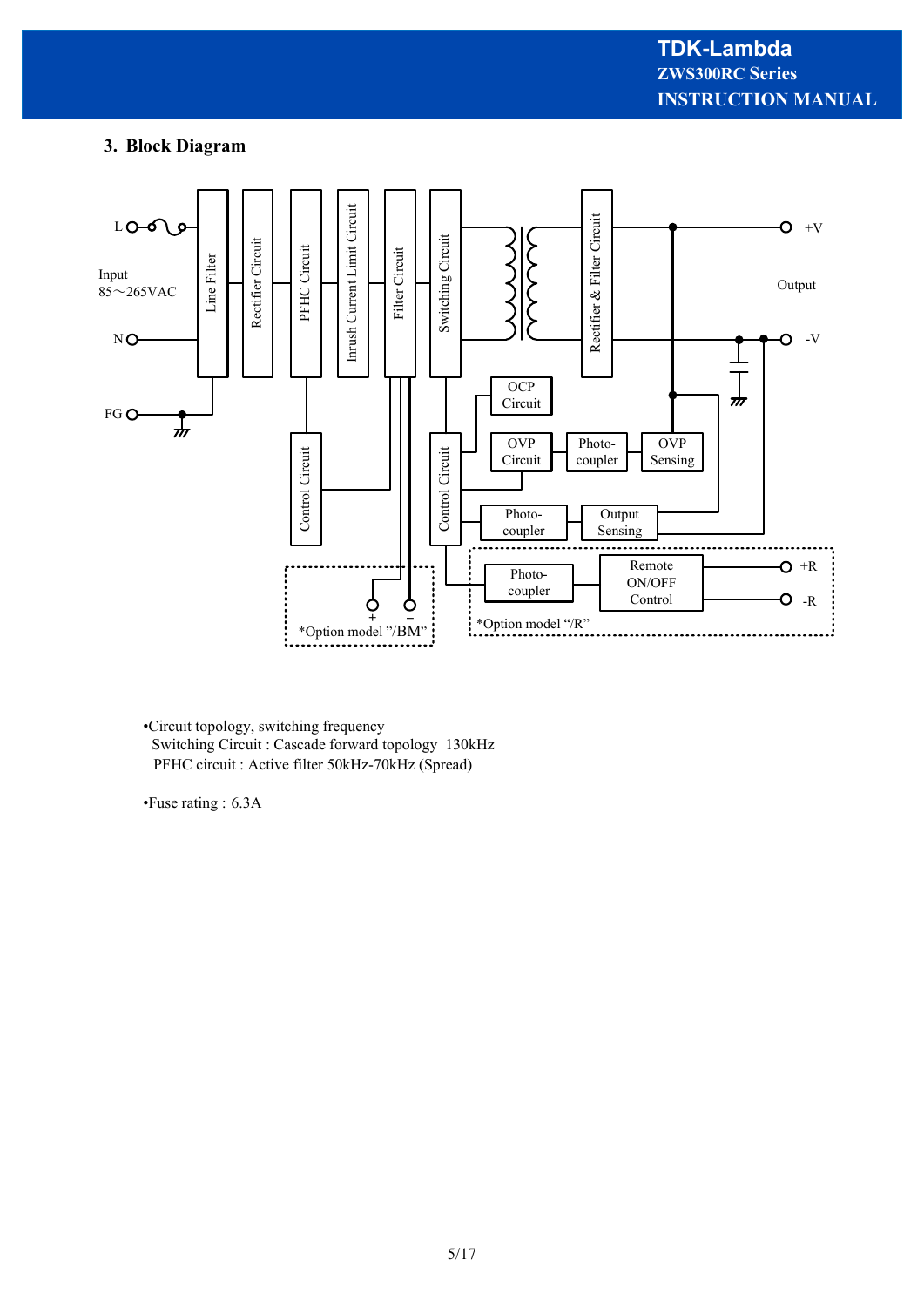## **3. Block Diagram**



•Circuit topology, switching frequency Switching Circuit : Cascade forward topology 130kHz PFHC circuit : Active filter 50kHz-70kHz (Spread)

•Fuse rating : 6.3A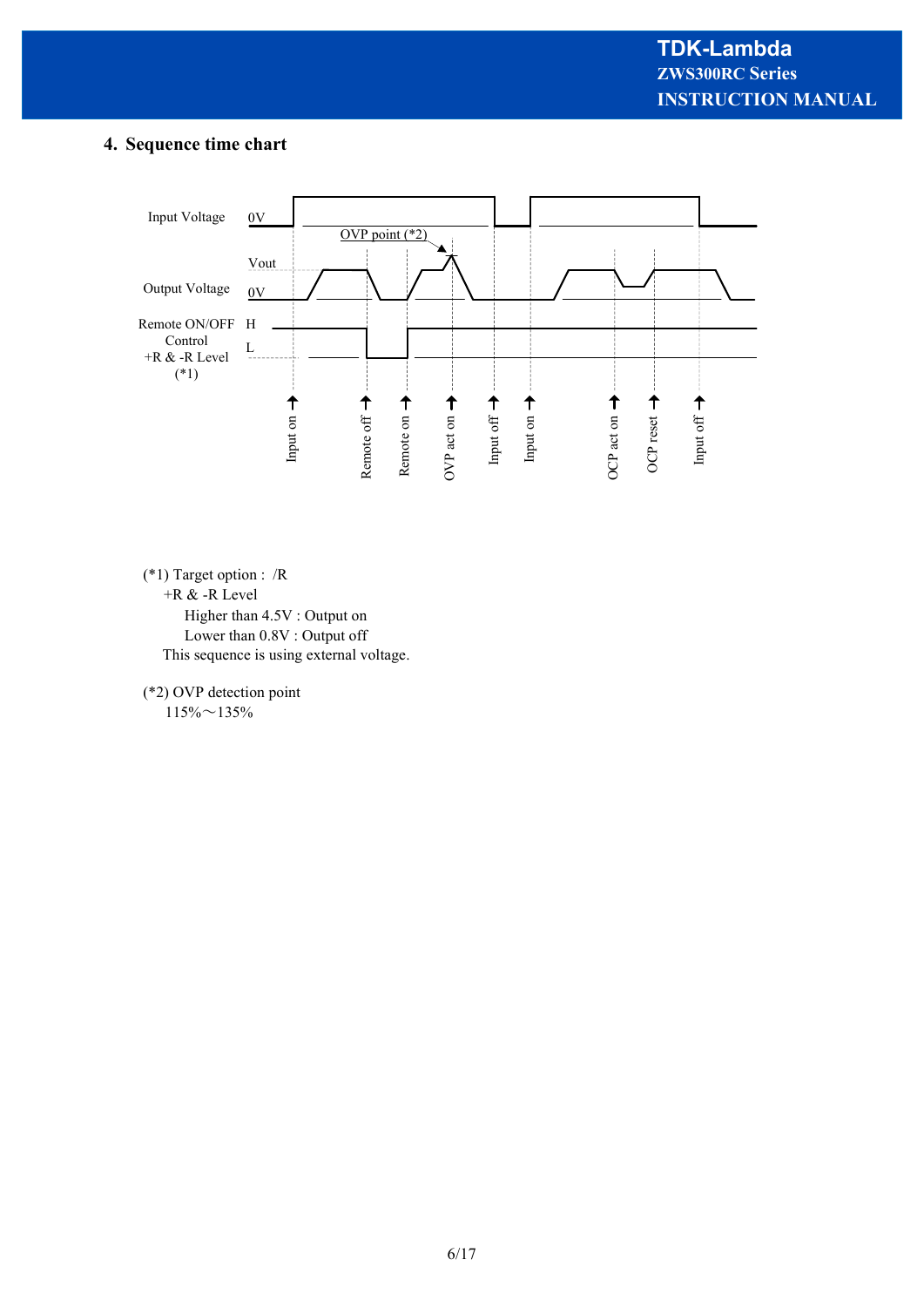## **4. Sequence time chart**



(\*1) Target option : /R

+R & -R Level

 Higher than 4.5V : Output on Lower than 0.8V : Output off This sequence is using external voltage.

(\*2) OVP detection point

 $115\% \sim 135\%$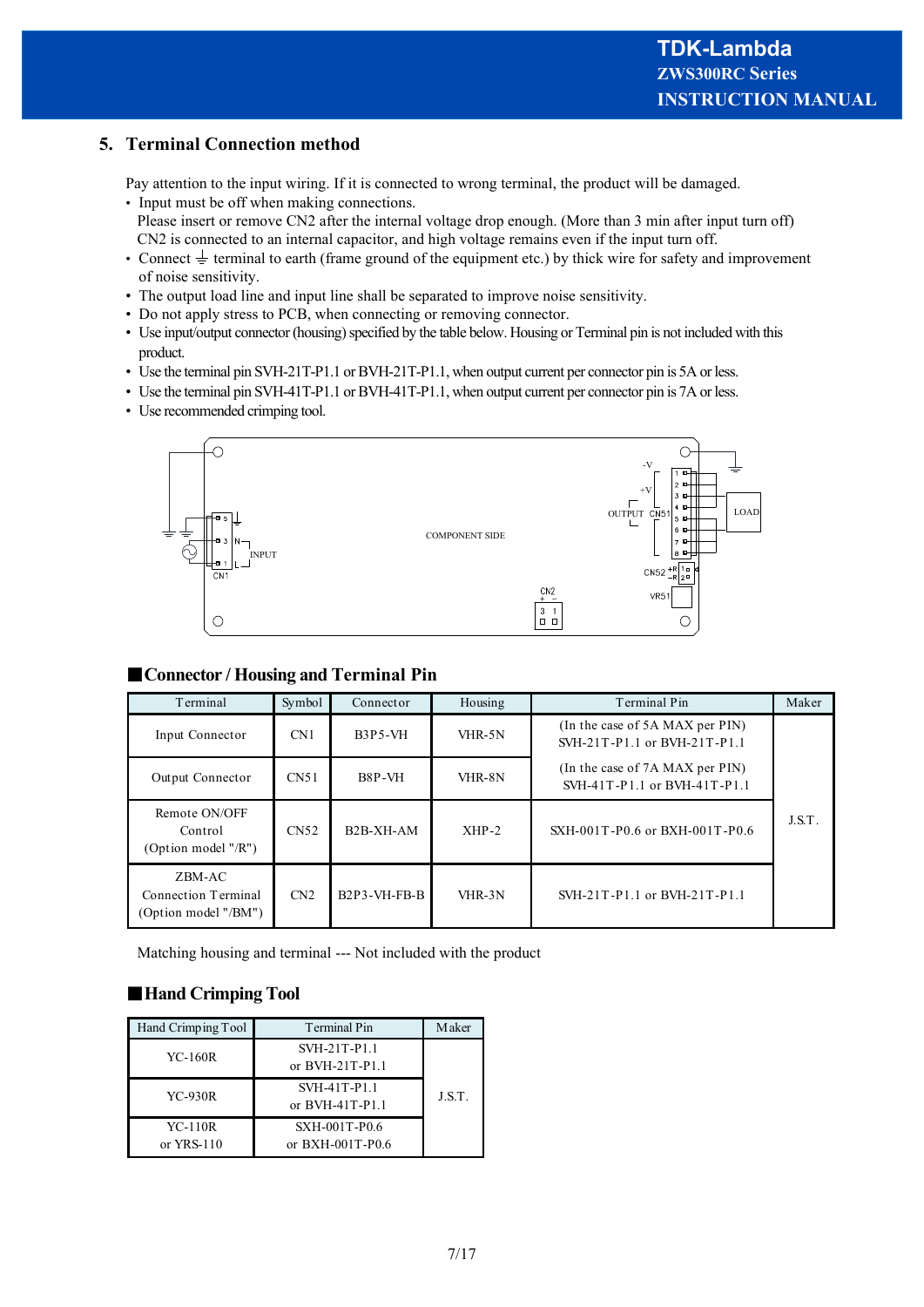## **5. Terminal Connection method**

Pay attention to the input wiring. If it is connected to wrong terminal, the product will be damaged.

- Input must be off when making connections. Please insert or remove CN2 after the internal voltage drop enough. (More than 3 min after input turn off) CN2 is connected to an internal capacitor, and high voltage remains even if the input turn off.
- Connect  $\frac{1}{\epsilon}$  terminal to earth (frame ground of the equipment etc.) by thick wire for safety and improvement of noise sensitivity.
- The output load line and input line shall be separated to improve noise sensitivity.
- Do not apply stress to PCB, when connecting or removing connector.
- Use input/output connector (housing) specified by the table below. Housing or Terminal pin is not included with this product.
- Use the terminal pin SVH-21T-P1.1 or BVH-21T-P1.1, when output current per connector pin is 5A or less.
- Use the terminal pin SVH-41T-P1.1 or BVH-41T-P1.1, when output current per connector pin is 7A or less.
- Use recommended crimping tool.



| Terminal                                              | Symbol           | Connector                                                        | Housing | Terminal Pin                                                    | Maker  |
|-------------------------------------------------------|------------------|------------------------------------------------------------------|---------|-----------------------------------------------------------------|--------|
| Input Connector                                       | CN <sub>1</sub>  | <b>B3P5-VH</b>                                                   | VHR-5N  | (In the case of 5A MAX per PIN)<br>SVH-21T-P1.1 or BVH-21T-P1.1 |        |
| Output Connector                                      | CN51             | B8P-VH                                                           | VHR-8N  | (In the case of 7A MAX per PIN)<br>SVH-41T-P1.1 or BVH-41T-P1.1 |        |
| Remote ON/OFF<br>Control<br>(Option model $''/R''$ )  | CN <sub>52</sub> | B <sub>2</sub> B-XH-AM                                           | $XHP-2$ | SXH-001T-P0.6 or BXH-001T-P0.6                                  | J.S.T. |
| ZBM-AC<br>Connection Terminal<br>(Option model "/BM") | CN2              | B <sub>2</sub> P <sub>3</sub> -V <sub>H</sub> -F <sub>B</sub> -B | VHR-3N  | SVH-21T-P1.1 or BVH-21T-P1.1                                    |        |

#### ■**Connector / Housing and Terminal Pin**

Matching housing and terminal --- Not included with the product

## ■**Hand Crimping Tool**

| Hand Crimping Tool             | Terminal Pin                      | <b>Maker</b> |
|--------------------------------|-----------------------------------|--------------|
| <b>YC-160R</b>                 | SVH-21T-P1.1<br>or BVH-21T-P1.1   |              |
| YC-930R                        | SVH-41T-P1.1<br>or $BVH-41T-P1.1$ | J.S.T.       |
| <b>YC-110R</b><br>or $YRS-110$ | SXH-001T-P0.6<br>or BXH-001T-P0.6 |              |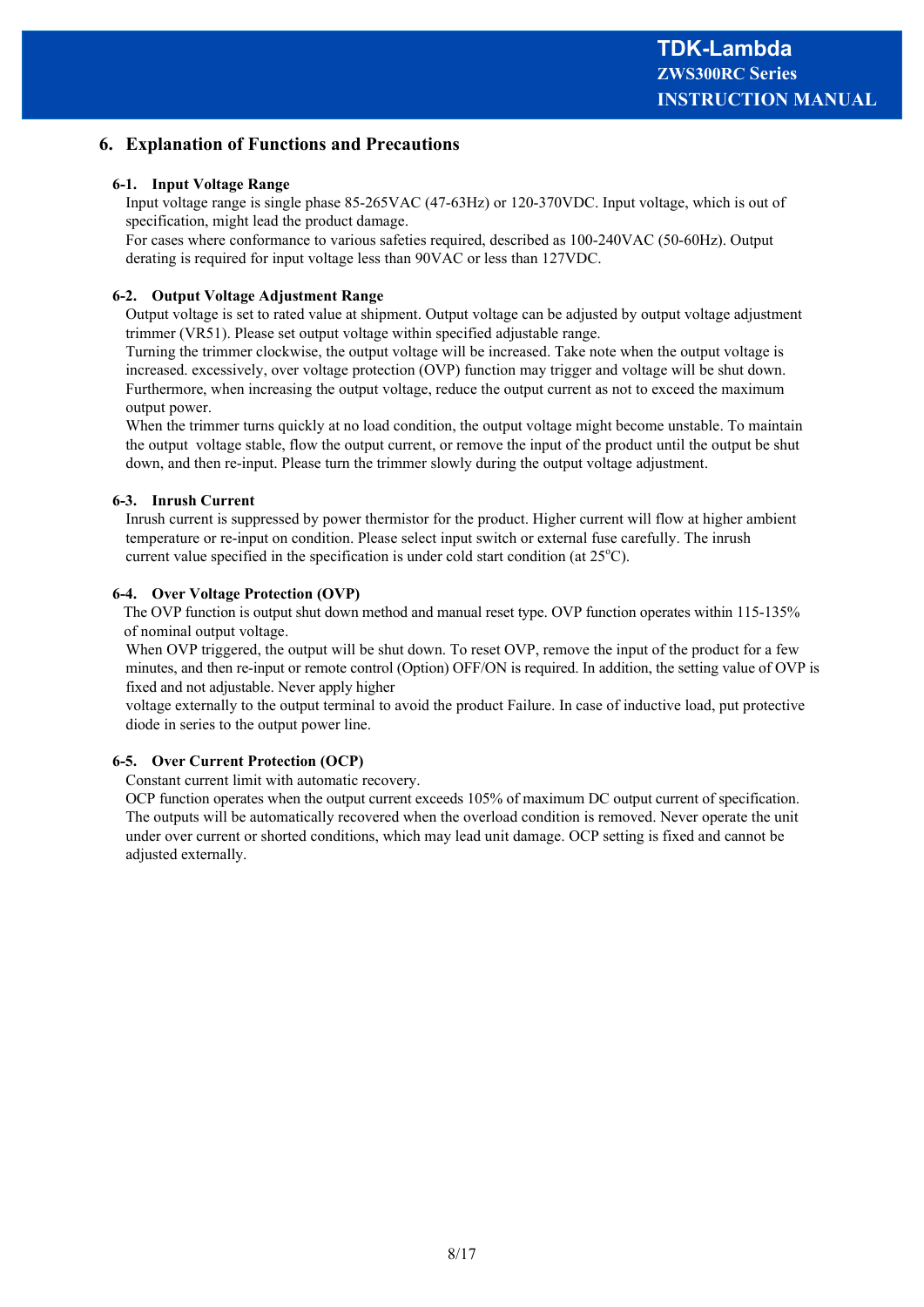## **6. Explanation of Functions and Precautions**

#### **6-1. Input Voltage Range**

Input voltage range is single phase 85-265VAC (47-63Hz) or 120-370VDC. Input voltage, which is out of specification, might lead the product damage.

For cases where conformance to various safeties required, described as 100-240VAC (50-60Hz). Output derating is required for input voltage less than 90VAC or less than 127VDC.

#### **6-2. Output Voltage Adjustment Range**

Output voltage is set to rated value at shipment. Output voltage can be adjusted by output voltage adjustment trimmer (VR51). Please set output voltage within specified adjustable range.

Turning the trimmer clockwise, the output voltage will be increased. Take note when the output voltage is increased. excessively, over voltage protection (OVP) function may trigger and voltage will be shut down. Furthermore, when increasing the output voltage, reduce the output current as not to exceed the maximum output power.

When the trimmer turns quickly at no load condition, the output voltage might become unstable. To maintain the output voltage stable, flow the output current, or remove the input of the product until the output be shut down, and then re-input. Please turn the trimmer slowly during the output voltage adjustment.

## **6-3. Inrush Current**

Inrush current is suppressed by power thermistor for the product. Higher current will flow at higher ambient temperature or re-input on condition. Please select input switch or external fuse carefully. The inrush current value specified in the specification is under cold start condition (at  $25^{\circ}$ C).

## **6-4. Over Voltage Protection (OVP)**

 The OVP function is output shut down method and manual reset type. OVP function operates within 115-135% of nominal output voltage.

When OVP triggered, the output will be shut down. To reset OVP, remove the input of the product for a few minutes, and then re-input or remote control (Option) OFF/ON is required. In addition, the setting value of OVP is fixed and not adjustable. Never apply higher

voltage externally to the output terminal to avoid the product Failure. In case of inductive load, put protective diode in series to the output power line.

## **6-5. Over Current Protection (OCP)**

Constant current limit with automatic recovery.

OCP function operates when the output current exceeds 105% of maximum DC output current of specification. The outputs will be automatically recovered when the overload condition is removed. Never operate the unit under over current or shorted conditions, which may lead unit damage. OCP setting is fixed and cannot be adjusted externally.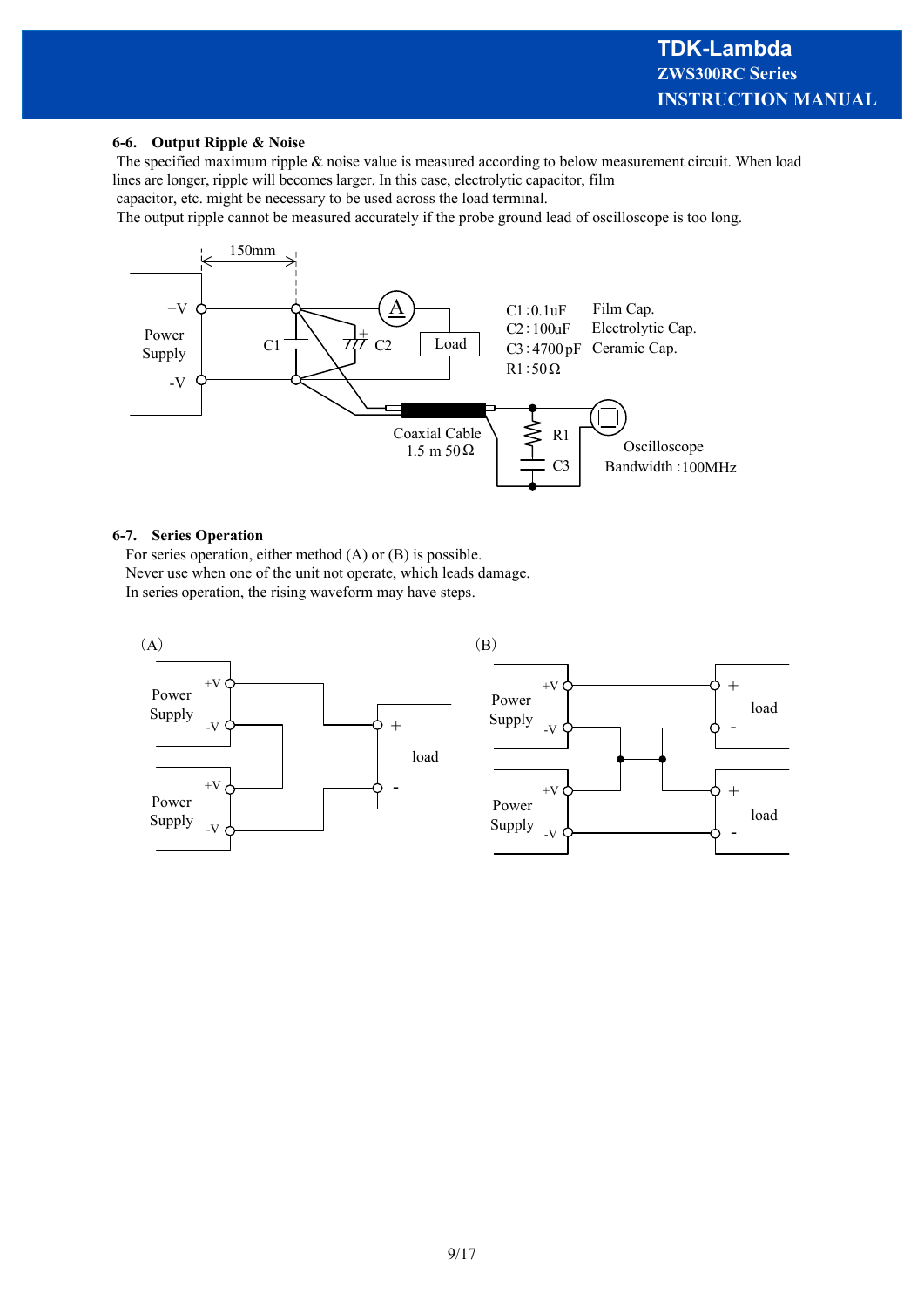#### **6-6. Output Ripple & Noise**

 The specified maximum ripple & noise value is measured according to below measurement circuit. When load lines are longer, ripple will becomes larger. In this case, electrolytic capacitor, film

capacitor, etc. might be necessary to be used across the load terminal.

The output ripple cannot be measured accurately if the probe ground lead of oscilloscope is too long.



#### **6-7. Series Operation**

For series operation, either method (A) or (B) is possible. Never use when one of the unit not operate, which leads damage. In series operation, the rising waveform may have steps.

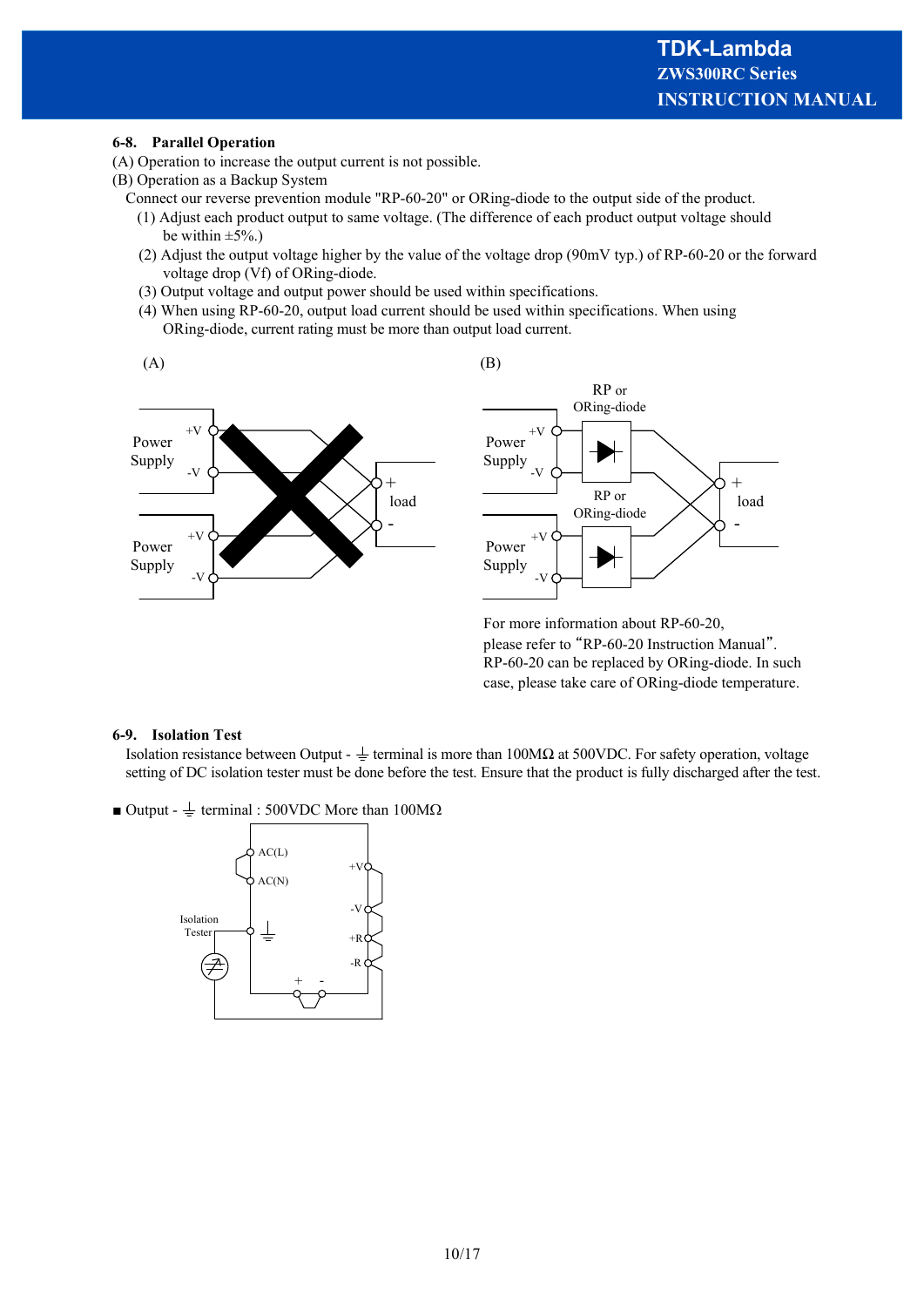#### **6-8. Parallel Operation**

- (A) Operation to increase the output current is not possible.
- (B) Operation as a Backup System
	- Connect our reverse prevention module "RP-60-20" or ORing-diode to the output side of the product.
		- (1) Adjust each product output to same voltage. (The difference of each product output voltage should be within  $\pm 5\%$ .)
		- (2) Adjust the output voltage higher by the value of the voltage drop (90mV typ.) of RP-60-20 or the forward voltage drop (Vf) of ORing-diode.
		- (3) Output voltage and output power should be used within specifications.
		- (4) When using RP-60-20, output load current should be used within specifications. When using ORing-diode, current rating must be more than output load current.



#### **6-9. Isolation Test**

Isolation resistance between Output -  $\frac{1}{\epsilon}$  terminal is more than 100MΩ at 500VDC. For safety operation, voltage setting of DC isolation tester must be done before the test. Ensure that the product is fully discharged after the test.

 $\blacksquare$  Output -  $\perp$  terminal : 500VDC More than 100M $\Omega$ 

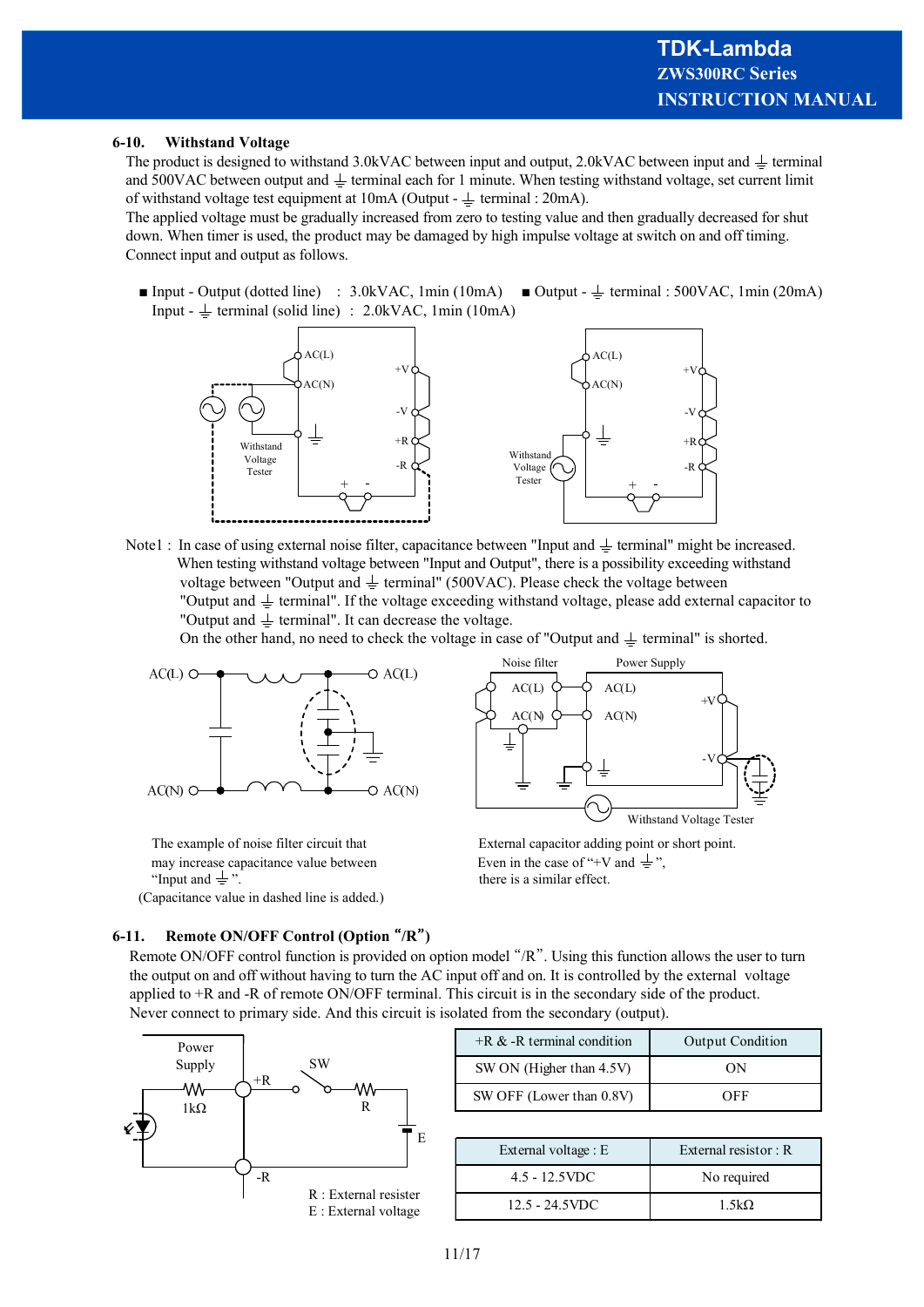#### **6-10. Withstand Voltage**

The product is designed to withstand 3.0kVAC between input and output, 2.0kVAC between input and  $\pm$  terminal and 500VAC between output and  $\pm$  terminal each for 1 minute. When testing withstand voltage, set current limit of withstand voltage test equipment at  $10mA$  (Output -  $\pm$  terminal : 20mA).

The applied voltage must be gradually increased from zero to testing value and then gradually decreased for shut down. When timer is used, the product may be damaged by high impulse voltage at switch on and off timing. Connect input and output as follows.

■ Input - Output (dotted line) : 3.0kVAC, 1min (10mA) ■ Output -  $\frac{1}{\sqrt{2}}$  terminal : 500VAC, 1min (20mA) Input -  $\perp$  terminal (solid line) : 2.0kVAC, 1min (10mA)



Note1 : In case of using external noise filter, capacitance between "Input and  $\pm$  terminal" might be increased. When testing withstand voltage between "Input and Output", there is a possibility exceeding withstand voltage between "Output and  $\pm$  terminal" (500VAC). Please check the voltage between "Output and  $\pm$  terminal". If the voltage exceeding withstand voltage, please add external capacitor to "Output and  $\perp$  terminal". It can decrease the voltage.

On the other hand, no need to check the voltage in case of "Output and  $\pm$  terminal" is shorted.



may increase capacitance value between Even in the case of "+V and  $\frac{1}{x}$ ". "Input and  $\neq$ ". there is a similar effect.

(Capacitance value in dashed line is added.)

#### **6-11. Remote ON/OFF Control (Option** "**/R**"**)**



The example of noise filter circuit that External capacitor adding point or short point.

 Remote ON/OFF control function is provided on option model "/R". Using this function allows the user to turn the output on and off without having to turn the AC input off and on. It is controlled by the external voltage applied to +R and -R of remote ON/OFF terminal. This circuit is in the secondary side of the product. Never connect to primary side. And this circuit is isolated from the secondary (output).



| $+R \& -R$ terminal condition | <b>Output Condition</b> |
|-------------------------------|-------------------------|
| SW ON (Higher than 4.5V)      | OΝ                      |
| SW OFF (Lower than 0.8V)      | OEE                     |

| External voltage : E | External resistor: R |
|----------------------|----------------------|
| $4.5 - 12.5$ VDC     | No required          |
| $12.5 - 24.5$ VDC    | $1.5k\Omega$         |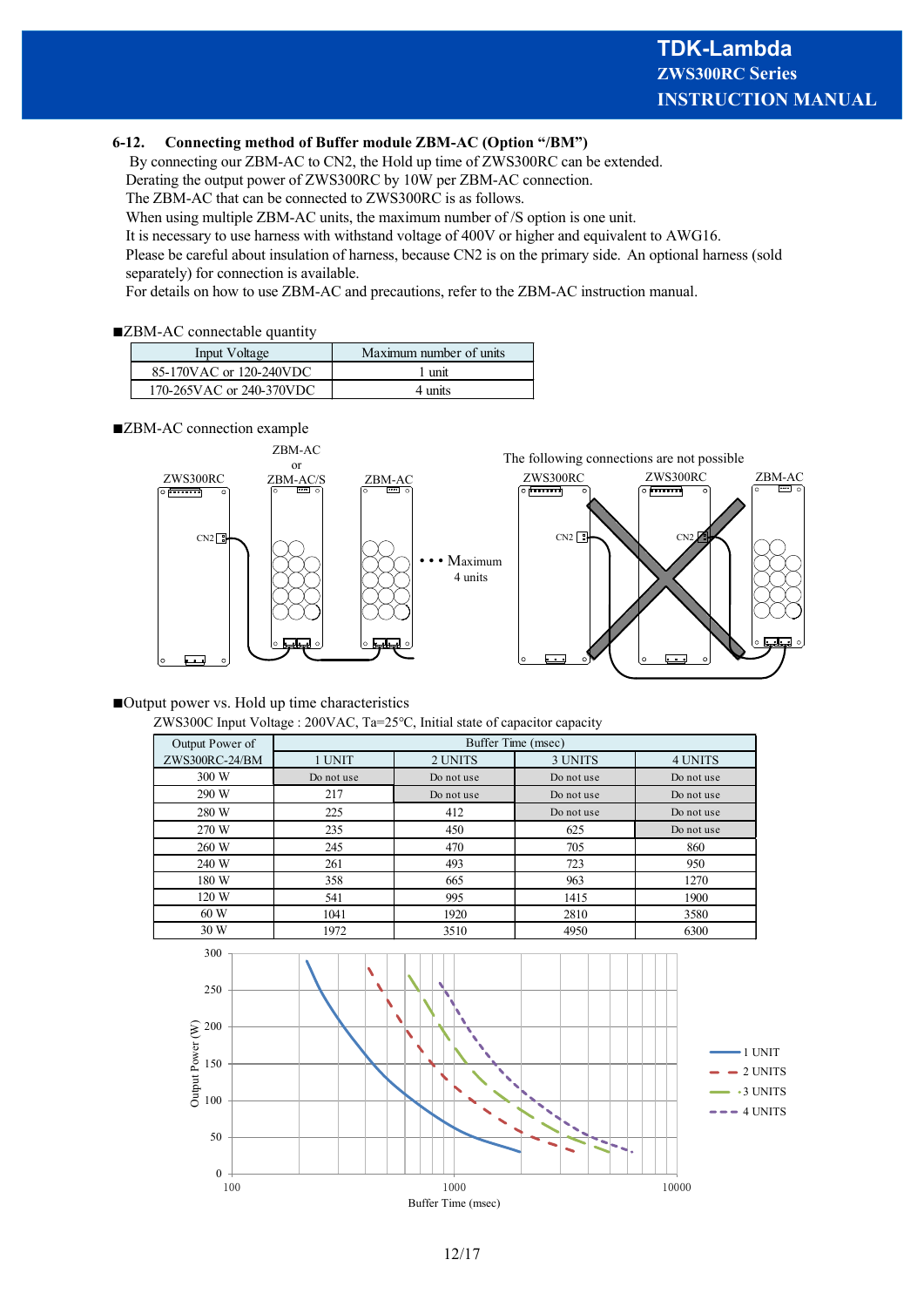#### **6-12. Connecting method of Buffer module ZBM-AC (Option "/BM")**

By connecting our ZBM-AC to CN2, the Hold up time of ZWS300RC can be extended.

Derating the output power of ZWS300RC by 10W per ZBM-AC connection.

The ZBM-AC that can be connected to ZWS300RC is as follows.

When using multiple ZBM-AC units, the maximum number of /S option is one unit.

It is necessary to use harness with withstand voltage of 400V or higher and equivalent to AWG16.

Please be careful about insulation of harness, because CN2 is on the primary side. An optional harness (sold separately) for connection is available.

For details on how to use ZBM-AC and precautions, refer to the ZBM-AC instruction manual.

#### ■**ZBM-AC** connectable quantity

| Input Voltage            | Maximum number of units |
|--------------------------|-------------------------|
| 85-170VAC or 120-240VDC  | 1 unit                  |
| 170-265VAC or 240-370VDC | 4 units                 |

#### ■**ZBM-AC** connection example



#### ■Output power vs. Hold up time characteristics

ZWS300C Input Voltage : 200VAC, Ta=25℃, Initial state of capacitor capacity

| Output Power of | Buffer Time (msec) |            |            |            |  |
|-----------------|--------------------|------------|------------|------------|--|
| ZWS300RC-24/BM  | 1 UNIT             | 2 UNITS    | 3 UNITS    | 4 UNITS    |  |
| 300 W           | Do not use         | Do not use | Do not use | Do not use |  |
| 290 W           | 217                | Do not use | Do not use | Do not use |  |
| 280 W           | 225                | 412        | Do not use | Do not use |  |
| 270 W           | 235                | 450        | 625        | Do not use |  |
| 260 W           | 245                | 470        | 705        | 860        |  |
| 240 W           | 261                | 493        | 723        | 950        |  |
| 180 W           | 358                | 665        | 963        | 1270       |  |
| 120 W           | 541                | 995        | 1415       | 1900       |  |
| 60 W            | 1041               | 1920       | 2810       | 3580       |  |
| 30 W            | 1972               | 3510       | 4950       | 6300       |  |

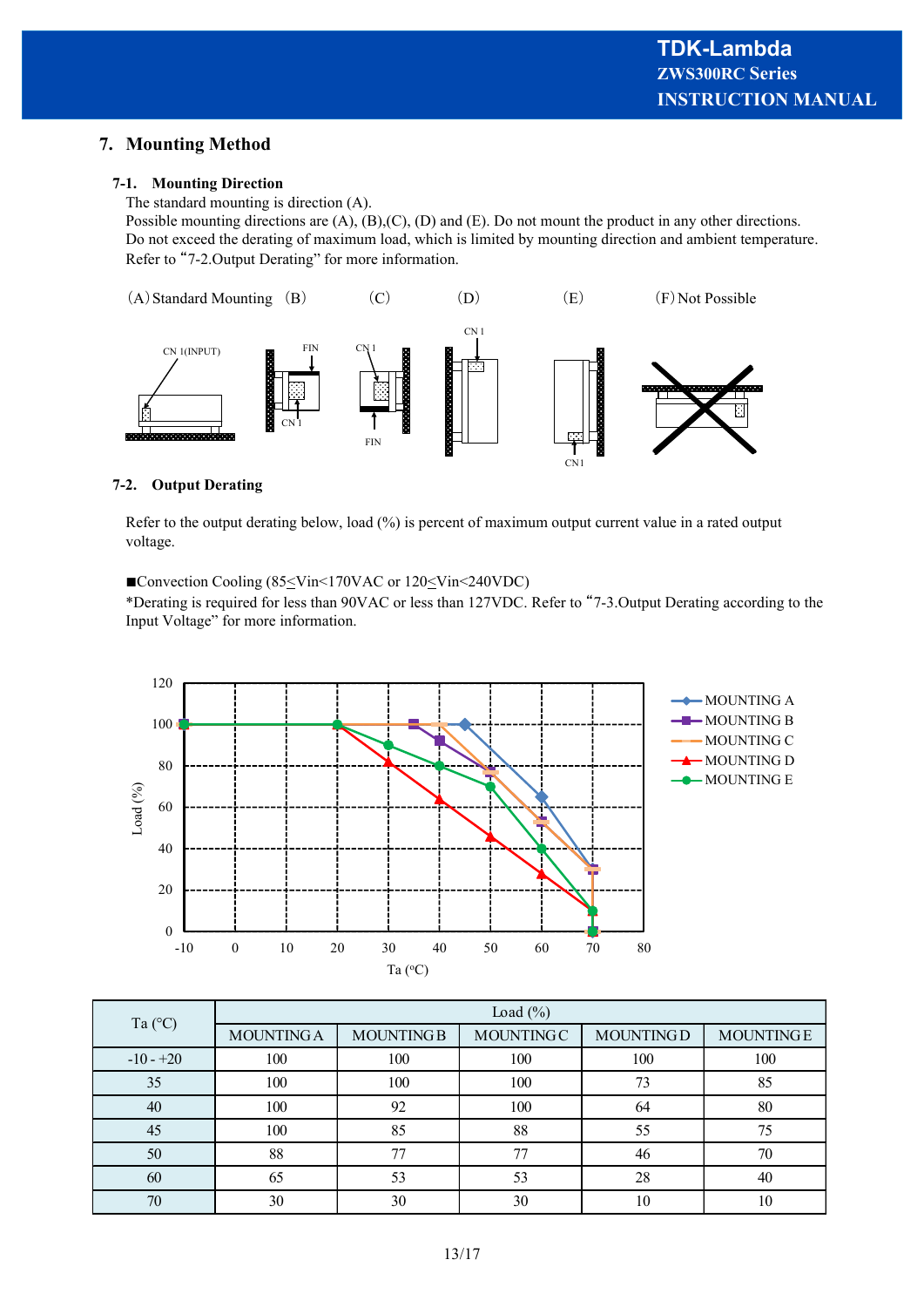## **7. Mounting Method**

#### **7-1. Mounting Direction**

The standard mounting is direction (A).

Possible mounting directions are (A), (B),(C), (D) and (E). Do not mount the product in any other directions. Do not exceed the derating of maximum load, which is limited by mounting direction and ambient temperature. Refer to "7-2.Output Derating" for more information.



#### **7-2. Output Derating**

Refer to the output derating below, load (%) is percent of maximum output current value in a rated output voltage.

■Convection Cooling (85≤Vin<170VAC or 120≤Vin<240VDC)

\*Derating is required for less than 90VAC or less than 127VDC. Refer to "7-3.Output Derating according to the Input Voltage" for more information.



|             | Load $(\%)$       |                  |                  |                  |                  |  |
|-------------|-------------------|------------------|------------------|------------------|------------------|--|
| Ta (°C)     | <b>MOUNTING A</b> | <b>MOUNTINGB</b> | <b>MOUNTINGC</b> | <b>MOUNTINGD</b> | <b>MOUNTINGE</b> |  |
| $-10 - +20$ | 100               | 100              | 100              | 100              | 100              |  |
| 35          | 100               | 100              | 100              | 73               | 85               |  |
| 40          | 100               | 92               | 100              | 64               | 80               |  |
| 45          | 100               | 85               | 88               | 55               | 75               |  |
| 50          | 88                | 77               | 77               | 46               | 70               |  |
| 60          | 65                | 53               | 53               | 28               | 40               |  |
| 70          | 30                | 30               | 30               | 10               | 10               |  |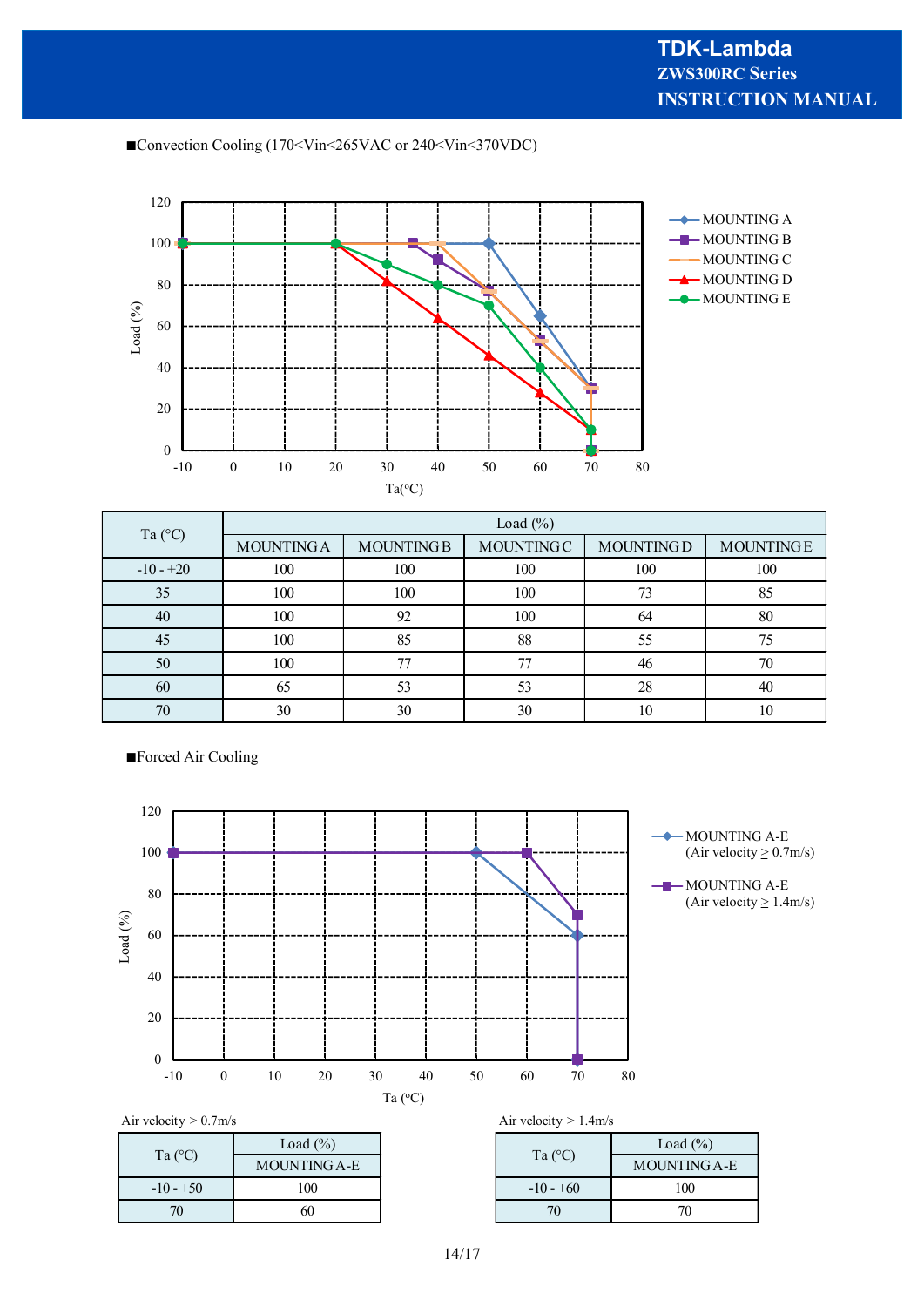■Convection Cooling (170≤Vin≤265VAC or 240≤Vin≤370VDC)



|             | Load $(\%)$       |                  |                  |                  |                  |  |
|-------------|-------------------|------------------|------------------|------------------|------------------|--|
| Ta (°C)     | <b>MOUNTING A</b> | <b>MOUNTINGB</b> | <b>MOUNTINGC</b> | <b>MOUNTINGD</b> | <b>MOUNTINGE</b> |  |
| $-10 - +20$ | 100               | 100              | 100              | 100              | 100              |  |
| 35          | 100               | 100              | 100              | 73               | 85               |  |
| 40          | 100               | 92               | 100              | 64               | 80               |  |
| 45          | 100               | 85               | 88               | 55               | 75               |  |
| 50          | 100               |                  | 77               | 46               | 70               |  |
| 60          | 65                | 53               | 53               | 28               | 40               |  |
| 70          | 30                | 30               | 30               | 10               | 10               |  |

■**Forced Air Cooling** 



| $\tilde{\phantom{a}}$ |              |                  | - -            |        |
|-----------------------|--------------|------------------|----------------|--------|
| Ta $(C)$              | Load $(\%)$  |                  |                | Load ( |
|                       | MOUNTING A-E | Ta $(^{\circ}C)$ | <b>MOUNTI</b>  |        |
| $-10 - +50$           | 100          |                  | $-10 - +60$    | 100    |
| 70                    | 60           |                  | 7 <sub>0</sub> | 70     |

|  |  | Air velocity $> 1.4$ m/s |  |  |
|--|--|--------------------------|--|--|
|--|--|--------------------------|--|--|

| Load $(\%)$  | Ta $(^{\circ}C)$ | Load $(\%)$         |
|--------------|------------------|---------------------|
| MOUNTING A-E |                  | <b>MOUNTING A-E</b> |
| 100          | $-10 - +60$      | 100                 |
| 60           | 70               | 70                  |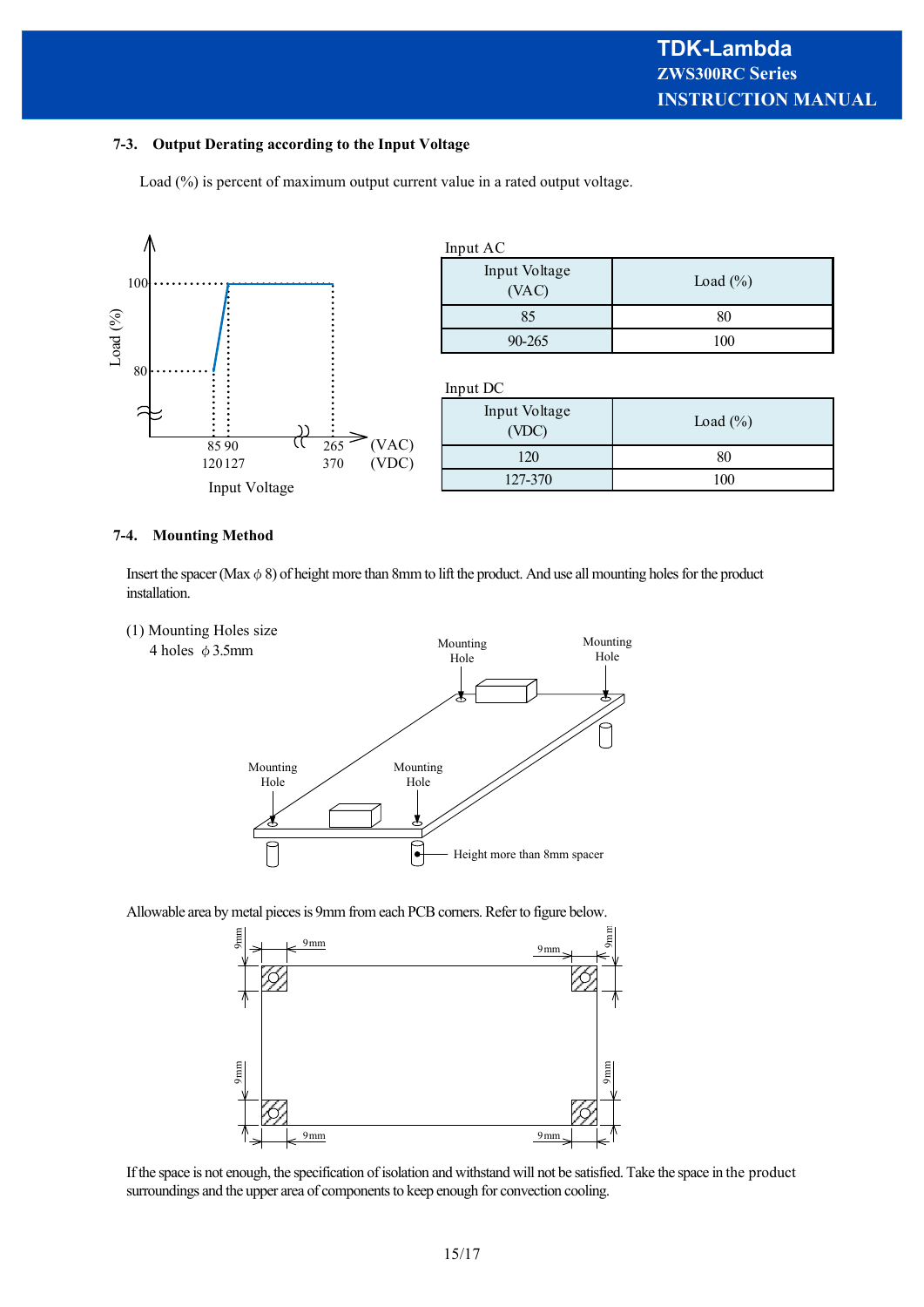#### **7-3. Output Derating according to the Input Voltage**

Load (%) is percent of maximum output current value in a rated output voltage.



#### **7-4. Mounting Method**

Insert the spacer (Max  $\phi$  8) of height more than 8mm to lift the product. And use all mounting holes for the product installation.



Allowable area by metal pieces is 9mm from each PCB corners. Refer to figure below.



If the space is not enough, the specification of isolation and withstand will not be satisfied. Take the space in the product surroundings and the upper area of components to keep enough for convection cooling.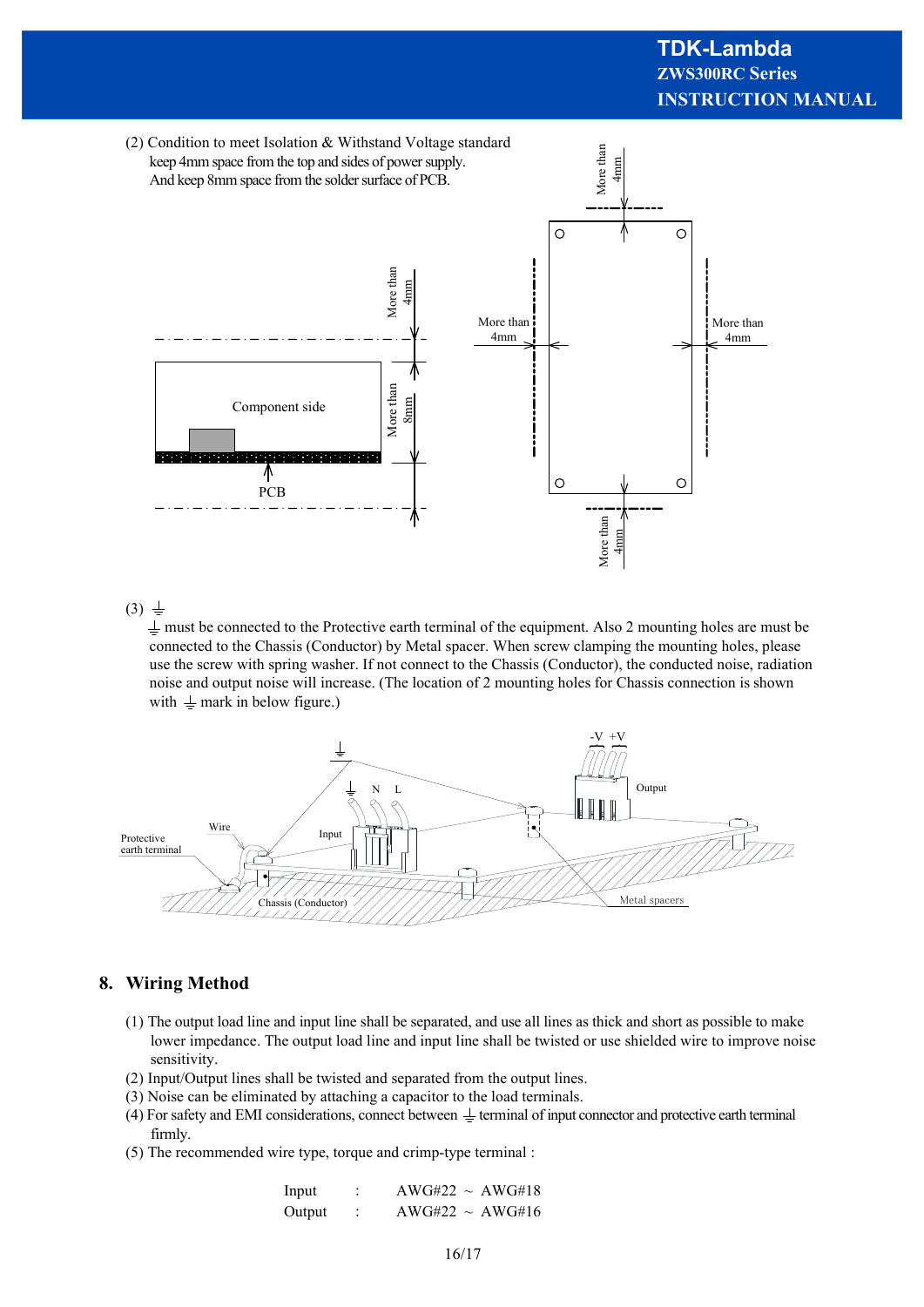# **INSTRUCTION MANUAL ZWS300RC Series TDK-Lambda**



 $(3) \frac{1}{2}$ 

 $\perp$  must be connected to the Protective earth terminal of the equipment. Also 2 mounting holes are must be connected to the Chassis (Conductor) by Metal spacer. When screw clamping the mounting holes, please use the screw with spring washer. If not connect to the Chassis (Conductor), the conducted noise, radiation noise and output noise will increase. (The location of 2 mounting holes for Chassis connection is shown with  $\perp$  mark in below figure.)



## **8. Wiring Method**

- (1) The output load line and input line shall be separated, and use all lines as thick and short as possible to make lower impedance. The output load line and input line shall be twisted or use shielded wire to improve noise sensitivity.
- (2) Input/Output lines shall be twisted and separated from the output lines.
- (3) Noise can be eliminated by attaching a capacitor to the load terminals.
- (4) For safety and EMI considerations, connect between  $\pm$  terminal of input connector and protective earth terminal firmly.
- (5) The recommended wire type, torque and crimp-type terminal :

| Input  | $AWG#22 \sim AWG#18$ |
|--------|----------------------|
| Output | $AWG#22 \sim AWG#16$ |